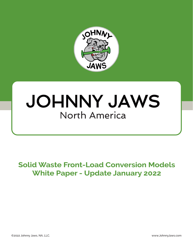

# JOHNNY JAWS North America

# **Solid Waste Front-Load Conversion Models White Paper - Update January 2022**

©2022 Johnny Jaws, NA, LLC. www.JohnnyJaws.com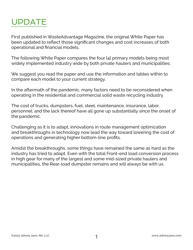# UPDATE

First published in WasteAdvantage Magazine, the original White Paper has been updated to reflect those significant changes and cost increases of both operational and financial models.

The following White Paper compares the four [4] primary models being most widely implemented industry wide by both private haulers and municipalities.

We suggest you read the paper and use the information and tables within to compare each model to your current strategy.

In the aftermath of the pandemic, many factors need to be reconsidered when operating in the residential and commercial solid waste recycling industry.

The cost of trucks, dumpsters, fuel, steel, maintenance, insurance, labor, personnel, and the lack thereof have all gone up substantially since the onset of the pandemic.

Challenging as it is to adapt, innovations in route management optimization and breakthroughs in technology now lead the way toward lowering the cost of operations and generating higher bottom-line profits.

Amidst the breakthroughs, some things have remained the same as hard as the industry has tried to adapt. Even with the total Front-end load conversion process in high gear for many of the largest and some mid-sized private haulers and municipalities, the Rear-load dumpster remains and will always be with us.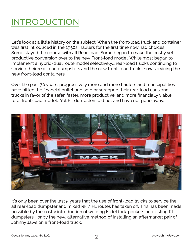# INTRODUCTION

Let's look at a little history on the subject. When the front-load truck and container was first introduced in the 1950s, haulers for the first time now had choices. Some stayed the course with all Rear-load. Some began to make the costly yet productive conversion over to the new Front-load model. While most began to implement a hybrid-dual route model selectively... rear-load trucks continuing to service their rear-load dumpsters and the new front-load trucks now servicing the new front-load containers.

Over the past 70 years, progressively more and more haulers and municipalities have bitten the financial bullet and sold or scrapped their rear-load cans and trucks in favor of the safer, faster, more productive, and more financially viable total front-load model. Yet RL dumpsters did not and have not gone away.



It's only been over the last 5 years that the use of front-load trucks to service the all rear-load dumpster and mixed RF / FL routes has taken off. This has been made possible by the costly introduction of welding [side] fork-pockets on existing RL dumpsters... or by the new, alternative method of installing an aftermarket pair of Johnny Jaws on a front-load truck.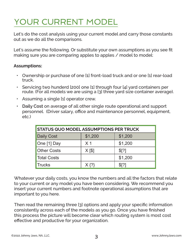# YOUR CURRENT MODEL

Let's do the cost analysis using your current model and carry those constants out as we do all the comparisons.

Let's assume the following. Or substitute your own assumptions as you see fit making sure you are comparing apples to apples / model to model:

### **Assumptions:**

- Ownership or purchase of one [1] front-load truck and or one [1] rear-load truck.
- Servicing two hunderd [200] one [1] through four [4] yard containers per route. (For all models we are using a [3] three yard size container average).
- Assuming a single [1] operator crew.
- **• Daily Cost** on average of all other single route operational and support personnel. (Driver salary, office and maintenance personnel, equipment, etc.)

| <b>STATUS QUO MODEL ASSUMPTIONS PER TRUCK</b> |            |                |  |
|-----------------------------------------------|------------|----------------|--|
| <b>Daily Cost</b>                             | \$1,200    | \$1,200        |  |
| One [1] Day                                   | $\times$ 1 | \$1,200        |  |
| <b>Other Costs</b>                            | $X [$ \$]  | $\sqrt{3}$ [?] |  |
| <b>Total Costs</b>                            |            | \$1,200        |  |
| <b>Trucks</b>                                 | $X \{?\}$  | $$^{[2]}$      |  |

Whatever your daily costs, you know the numbers and all the factors that relate to your current or any model you have been considering. We recommend you insert your current numbers and footnote operational assumptions that are important to you here.

Then read the remaining three [3] options and apply your specific information consistently across each of the models as you go. Once you have finished this process the picture will become clear which routing system is most cost effective and productive for your organization.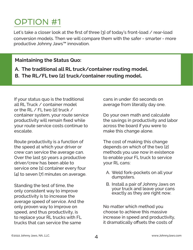Let's take a closer look at the first of three [3] of today's front-load / rear-load conversion models. Then we will compare them with the safer - smarter - more productive Johnny Jaws™ innovation.

# **Maintaining the Status Quo:**

- **A. The traditional all RL truck/container routing model.**
- **B. The RL/FL two [2] truck/container routing model.**

If your status quo is the traditional all RL Truck / container model or the RL  $\angle$  FL two [2] truck  $\angle$ container system, your route service productivity will remain fixed while your route service costs continue to escalate.

Route productivity is a function of the speed at which your driver or crew can service the average can. Over the last 50 years a productive driver/crew has been able to service one [1] container every four [4] to seven [7] minutes on average.

Standing the test of time, the only consistent way to improve productivity is to increase the average speed of service. And the only proven way to improve on speed, and thus productivity, is to replace your RL trucks with FL trucks that can service the same

cans in under :60 seconds on average from literally day one.

Do your own math and calculate the savings in productivity and labor across the board if you were to make this change alone.

The cost of making this change depends on which of the two [2] methods you use now in existence to enable your FL truck to service your RL cans:

- A. Weld fork-pockets on all your dumpsters.
- B. Install a pair of Johnny Jaws on your truck and leave your cans exactly as they are right now.

No matter which method you choose to achieve this massive increase in speed and productivity, it dramatically offsets the costs of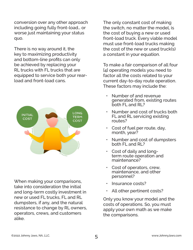conversion over any other approach including going fully front-load… or worse just maintaining your status quo.

There is no way around it, the key to maximizing productivity and bottom-line profits can only be achieved by replacing your RL trucks with FL trucks that are equipped to service both your rearload and front-load cans.



When making your comparisons, take into consideration the initial and long-term costly investment in new or used FL trucks, FL and RL dumpsters, if any, and the natural resistance to change by RL owners, operators, crews, and customers alike.

The only constant cost of making the switch, no matter the model, is the cost of buying a new or used front-load truck. Every viable model must use front-load trucks making the cost of the new or used truck(s) a constant in your equation.

To make a fair comparison of all four [4] operating models you need to factor all the costs related to your current day-to-day route operation. These factors may include the:

- Number of and revenue generated from, existing routes both FL and RL?
- Number and cost of trucks both FL and RL servicing existing routes?
- Cost of fuel per route, day, month, year?
- Number and cost of dumpsters both FL and RL?
- Cost of daily and longterm route operation and maintenance<sup>2</sup>
- Cost of operators, crew, maintenance, and other personnel?
- Insurance costs?
- All other pertinent costs?

Only you know your model and the costs of operations. So, you must apply your own math as we make the comparisons.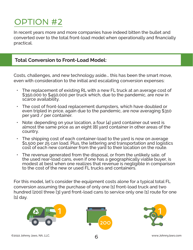In recent years more and more companies have indeed bitten the bullet and converted over to the total front-load model when operationally and financially practical.

# **Total Conversion to Front-Load Model:**

Costs, challenges, and new technology aside... this has been the smart move, even with consideration to the initial and escalating conversion expenses:

- The replacement of existing RL with a new FL truck at an average cost of \$350,000 to \$450,000 per truck which, due to the pandemic, are now in scarce availability.
- The cost of front-load replacement dumpsters, which have doubled or even tripled in price, again due to the pandemic, are now averaging \$310 per yard / per container.
- Note: depending on your location, a four [4] yard container out west is almost the same price as an eight [8] yard container in other areas of the country.
- The shipping cost of each container-load to the yard is now on average \$1,500 per 25 can load. Plus, the lettering and transportation and logistics cost of each new container from the yard to their location on the route.
- The revenue generated from the disposal, or from the unlikely sale, of the used rear-load cans, even if one has a geographically viable buyer, is modest at best when one realizes that revenue is negligible in comparison to the cost of the new or used FL trucks and containers.

For this model, let's consider the equipment costs alone for a typical total FL conversion assuming the purchase of only one [1] front-load truck and two hundred [200] three [3] yard front-load cans to service only one [1] route for one [1] day.





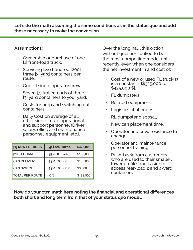**Let's do the math assuming the same conditions as in the status quo and add those necessary to make the conversion.**

#### **Assumptions:**

- Ownership or purchase of one [1] front-load truck.
- Servicing two hundred [200] three [3] yard containers per route.
- One [1] single operator crew.
- Seven [7] trailer loads of three [3] yard containers to your yard.
- Costs for prep and switching out containers.
- Daily Cost on average of all other single route operational and support personnel (Driver salary, office and maintenance personnel, equipment, etc.).

| [1] NEW FL TRUCK       | @\$325,000/ea. | \$325,000 |
|------------------------|----------------|-----------|
| [200] FL CANS          | @\$930.00/ea.  | \$186,000 |
| <b>CAN DELIVERY</b>    | @\$1,500 x 7   | \$10,500  |
| <b>CAN SWITCH</b>      | @\$15.00 x 200 | \$3,000   |
| <b>TOTAL PER ROUTE</b> | $X \$ ?\}      | \$199,500 |

Over the long haul this option without question looked to be the most compelling model until recently, even when one considers the net investment in and cost of:

- Cost of a new or used FL truck(s) is a constant - [\$325,000 to \$425,000 \$],
- FL dumpsters,
- Related equipment,
- Logistics challenges
- RL dumpster disposal,
- New can placement time,
- Operator and crew resistance to change,
- Operator and maintenance personnel training,
- Push-back from customers who are used to their smaller, lower profile, and easier to access rear-load 2 and 4-yard containers

### **Now do your own math here noting the financial and operational differences both short and long term from that of your status quo model.**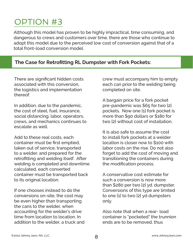Although this model has proven to be highly impractical, time consuming, and dangerous to crews and customers over time, there are those who continue to adopt this model due to the perceived low cost of conversion against that of a total front-load conversion model.

### **The Case for Retrofitting RL Dumpster with Fork Pockets:**

There are significant hidden costs associated with this conversion, the logistics and implementation thereof.

In addition, due to the pandemic, the cost of steel, fuel, insurance, social distancing, labor, operators, crews, and mechanics continues to escalate as well.

Add to these real costs, each container must be first emptied, taken out of service, transported to a welder, and prepared for the retrofitting and welding itself. After welding is completed and downtime calculated, each converted container must be transported back to its original location.

If one chooses instead to do the conversions on-site, the cost may be even higher than transporting the cans to the welder, when accounting for the welder's drive time from location to location. In addition to the welder, a truck and crew must accompany him to empty each can prior to the welding being completed on site.

A bargain price for a fork pocket pre-pandemic was \$65 for two [2] pockets. Now one [1] fork pocket is more than \$90 dollars or \$180 for two [2] without cost of installation.

It is also safe to assume the cost to install fork pockets at a welder location is closer now to \$100 with labor costs on the rise. Do not also forget to add the cost of moving and transitioning the containers during the modification process.

A conservative cost estimate for such a conversion is now more than \$280 per two [2] yd. dumpster. Conversions of this type are limited to one [1] to two [2] yd dumpsters only.

Also note that when a rear- load container is "pocketed" the trunnion ends are to be removed, thus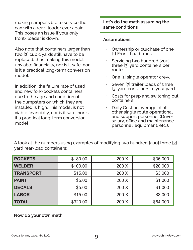making it impossible to service the can with a rear- loader ever again. This poses an issue if your only front- loader is down.

Also note that containers larger than two [2] cubic yards still have to be replaced, thus making this model unviable financially, nor is it safe, nor is it a practical long-term conversion model.

In addition, the failure rate of used and new fork-pockets containers due to the age and condition of the dumpsters on which they are installed is high. This model is not viable financially, nor is it safe, nor is it a practical long-term conversion model

### **Let's do the math assuming the same conditions**

#### **Assumptions:**

- Ownership or purchase of one [1] Front-Load truck.
- Servicing two hundred [200] three [3] yard containers per route.
- One [1] single operator crew.
- Seven [7] trailer loads of three [3] yard containers to your yard.
- Costs for prep and switching out containers.
- Daily Cost on average of all other single route operational and support personnel (Driver salary, office and maintenance personnel, equipment, etc.).

| <b>POCKETS</b>   | \$180.00 | 200 X | \$36,000 |
|------------------|----------|-------|----------|
| <b>WELDER</b>    | \$100.00 | 200 X | \$20,000 |
| <b>TRANSPORT</b> | \$15.00  | 200 X | \$3,000  |
| <b>PAINT</b>     | \$5.00   | 200 X | \$1,000  |
| <b>DECALS</b>    | \$5.00   | 200 X | \$1,000  |
| <b>LABOR</b>     | \$15.00  | 200 X | \$3,000  |
| <b>TOTAL</b>     | \$320.00 | 200 X | \$64,000 |

A look at the numbers using examples of modifying two hundred [200] three [3] yard rear-load containers:

**Now do your own math.**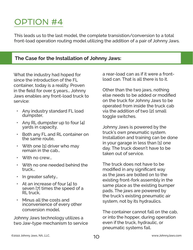This leads us to the last model, the complete transistion/conversion to a total front-load operation routing model utilizing the addition of a pair of Johnny Jaws.

# **The Case for the Installation of Johnny Jaws:**

What the industry had hoped for since the introduction of the FL container, today is a reality. Proven in the field for over 5 years… Johnny Jaws enables any front-load truck to service:

- Any industry standard FL load dumpster,
- Any RL dumpster up to four [4] yards in capacity,
- Both any FL and RL container on the same route,
- With one [1] driver who may remain in the cab…
- With no crew...
- With no one needed behind the truck…
- In greater safety...
- At an increase of four [4] to seven [7] times the speed of a RL truck,
- Minus all the costs and inconvenience of every other conversion model.

Johnny Jaws technology utilizes a two Jaw-type mechanism to service a rear-load can as if it were a frontload can. That is all there is to it.

Other than the two jaws, nothing else needs to be added or modified on the truck for Johnny Jaws to be operated from inside the truck cab via the addition of two [2] small toggle switches.

Johnny Jaws is powered by the truck's own pneumatic system. Installation and training can be done in your garage in less than [1] one day. The truck doesn't have to be taken out of service.

The truck does not have to be modified in any significant way as the jaws are bolted on to the existing front-fork assembly in the same place as the existing bumper pads. The jaws are powered by the truck's existing pneumatic air system, not by its hydraulics.

The container cannot fall on the cab, or into the hopper, during operation even if the truck, hydraulic, or pneumatic systems fail.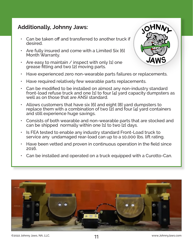# **Additionally, Johnny Jaws:**

- Can be taken off and transferred to another truck if desired.
- Are fully insured and come with a Limited Six [6] Month Warranty.
- Are easy to maintain / inspect with only [1] one grease fitting and two [2] moving parts.



- Have experienced zero non-wearable parts failures or replacements.
- Have required relatively few wearable parts replacements.
- Can be modified to be installed on almost any non-industry standard front-load refuse truck and one [1] to four [4] yard capacity dumpsters as well as on those that are ANSI standard.
- Allows customers that have six [6] and eight [8] yard dumpsters to replace them with a combination of two [2] and four [4] yard containers and still experience huge savings.
- Consists of both wearable and non-wearable parts that are stocked and can be shipped normally within one [1] to two [2] days.
- Is FEA tested to enable any industry standard Front-Load truck to service any undamaged rear-load can up to a 10,000 lbs. lift rating.
- Have been vetted and proven in continuous operation in the field since 2016.
- Can be installed and operated on a truck equipped with a Curotto-Can.



```
11 ©2022 Johnny Jaws, NA, LLC. www.JohnnyJaws.com
```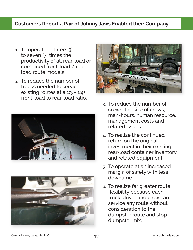# **Customers Report a Pair of Johnny Jaws Enabled their Company:**

- 1. To operate at three [3] to seven [7] times the productivity of all rear-load or combined front-load / rearload route models.
- 2. To reduce the number of trucks needed to service existing routes at a 1:3 - 1:4+ front-load to rear-load ratio.







- 3. To reduce the number of crews, the size of crews, man-hours, human resource, management costs and related issues.
- 4. To realize the continued return on the original investment in their existing rear-load container inventory and related equipment.
- 5. To operate at an increased margin of safety with less downtime.
- 6. To realize far greater route flexibility because each truck, driver and crew can service any route without consideration to the dumpster route and stop dumpster mix.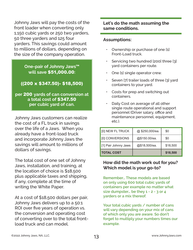Johnny Jaws will pay the costs of the front loader when converting only 1,150 cubic yards or 250 two yarders, 50 three yarders and 125 four yarders. This savings could amount to millions of dollars, depending on the size of the company operation.

### **One-pair of Johnny Jaws™ will save** \$51,000.00**:**

# ((200 x \$347.50)- \$18,500)

**per** 200 **yards of can conversion at a total cost of** \$347.50 **per cubic yard of can.**

Johnny Jaws customers can realize the cost of a FL truck in savings over the life of a Jaws. When you already have a front-load truck and incorporate Johnny Jaws the savings will amount to millions of dollars of savings.

The total cost of one set of Johnny Jaws, installation, and training, at the location of choice is \$18,500 plus applicable taxes and shipping, if any, complete at the time of writing the White Paper.

At a cost of \$18,500 dollars per pair, Johnny Jaws delivers up to a 50:1 ROI over five years of operation vs. the conversion and operating cost of converting over to the total frontload truck and can model.

### **Let's do the math assuming the same conditions.**

#### **Assumptions:**

- Ownership or purchase of one [1] Front-Load truck.
- Servicing two hundred [200] three [3] yard containers per route.
- One [1] single operator crew.
- Seven [7] trailer loads of three [3] yard containers to your yard.
- Costs for prep and switching out containers.
- Daily Cost on average of all other single route operational and support personnel (Driver salary, office and maintenance personnel, equipment, etc.).

| [0] NEW FL TRUCK     | @ \$250,000/ea. | \$0      |
|----------------------|-----------------|----------|
| [0] CONVERSIONS      | @\$150.00/ea.   | \$0      |
| [1] Pair Johnny Jaws | @\$18,500/ea.   | \$18,500 |
| <b>TOTAL COST</b>    |                 | \$18,500 |

### **How did the math work out for you? Which model is your go-to?**

**Remember… These models are based on only using 600 total cubic yards of containers per example no matter what size dumpster… be they 1 - 2 - 3 or 4 yarders or a mix thereof.**

**Your total cubic yards / number of cans will vary depending on your mix of cans of which only you are aware. So don't forget to multiply your numbers times our example.**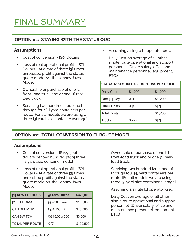# FINAL SUMMARY

### **OPTION #1: STAYING WITH THE STATUS QUO:**

#### **Assumptions:**

- Cost of conversion [\$0] Dollars
- Loss of real operational profit [\$?] Dollars - At a rate of three [3] times unrealized profit against the status quote model vs. the Johnny Jaws Model
- Ownership or purchase of one [1] front-load truck and or one [1] rearload truck.
- Servicing two hundred [200] one [1] through four [4] yard containers per route. [For all models we are using a three [3] yard size container average]
- Assuming a single [1] operator crew.
- Daily Cost on average of all other single route operational and support personnel (Driver salary, office and maintenance personnel, equipment, ETC.)

| <b>STATUS QUO MODEL ASSUMPTIONS PER TRUCK</b> |                |         |  |
|-----------------------------------------------|----------------|---------|--|
| <b>Daily Cost</b>                             | \$1,200        | \$1,200 |  |
| One [1] Day                                   | X <sub>1</sub> | \$1,200 |  |
| <b>Other Costs</b>                            | $X$ [\$]       | \$[?]   |  |
| <b>Total Costs</b>                            |                | \$1,200 |  |
| <b>Trucks</b>                                 | $X \{?\}$      | \$[?]   |  |

# **OPTION #2: TOTAL CONVERSION TO FL ROUTE MODEL**

#### **Assumptions:**

- Cost of conversion [\$199,500] dollars per two hundred [200] three [3] yard size container model
- Loss of real operational profit [\$?] Dollars - At a rate of three [3] times unrealized profit against the status quote model vs. the Johnny Jaws Model

| [1] NEW FL TRUCK       | @\$325,000/ea. | \$325,000 |
|------------------------|----------------|-----------|
| [200] FL CANS          | @\$930.00/ea.  | \$186,000 |
| <b>CAN DELIVERY</b>    | @\$1,500 x 7   | \$10,500  |
| <b>CAN SWITCH</b>      | @\$15.00 x 200 | \$3,000   |
| <b>TOTAL PER ROUTE</b> | $X \{?\}$      | \$199,500 |

- Ownership or purchase of one [1] front-load truck and or one [1] rearload truck.
- Servicing two hundred [200] one [1] through four [4] yard containers per route. [For all models we are using a three [3] yard size container average]
- Assuming a single [1] operator crew.
- Daily Cost on average of all other single route operational and support personnel (Driver salary, office and maintenance personnel, equipment, ETC.)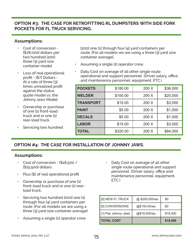### **OPTION #3: THE CASE FOR RETROFITTING RL DUMPSTERS WITH SIDE FORK POCKETS FOR FL TRUCK SERVICING.**

#### **Assumptions:**

- Cost of conversion [\$78,000] dollars per two hundred [200] three [3] yard size container model
- Loss of real operational profit - [\$?] Dollars - At a rate of three [3] times unrealized profit against the status quote model vs. the Johnny Jaws Model.
- Ownership or purchase of one [1] front-load truck and or one [1] rear-load truck.
- Servicing two hundred

[200] one [1] through four [4] yard containers per route. [For all models we are using a three [3] yard size container average].

- Assuming a single [1] operator crew.
- Daily Cost on average of all other single route operational and support personnel (Driver salary, office and maintenance personnel, equipment, ETC.)

| <b>POCKETS</b>   | \$180.00 | 200 X | \$36,000 |
|------------------|----------|-------|----------|
| <b>WELDER</b>    | \$100.00 | 200 X | \$20,000 |
| <b>TRANSPORT</b> | \$15.00  | 200 X | \$3,000  |
| <b>PAINT</b>     | \$5.00   | 200 X | \$1,000  |
| <b>DECALS</b>    | \$5.00   | 200 X | \$1,000  |
| <b>LABOR</b>     | \$15.00  | 200X  | \$3,000  |
| <b>TOTAL</b>     | \$320.00 | 200 X | \$64,000 |

### **OPTION #4: THE CASE FOR INSTALLATION OF JOHNNY JAWS.**

#### **Assumptions:**

- Cost of conversion  $$18,500 /$ [\$15,500] dollars
- Plus [\$] of real operational profit
- Ownership or purchase of one [1] front-load truck and or one [1] rearload truck.
- Servicing two hundred [200] one [1] through four [4] yard containers per route. [For all models we are using a three [3] yard size container average]
- Assuming a single [1] operator crew.

• Daily Cost on average of all other single route operational and support personnel (Driver salary, office and maintenance personnel, equipment, ETC.)

| [0] NEW FL TRUCK     | @ \$250,000/ea. | \$0      |
|----------------------|-----------------|----------|
| [0] CONVERSIONS      | @\$150.00/ea.   | \$0      |
| [1] Pair Johnny Jaws | @\$18,500/ea.   | \$18,500 |
| <b>TOTAL COST</b>    |                 | \$18,500 |